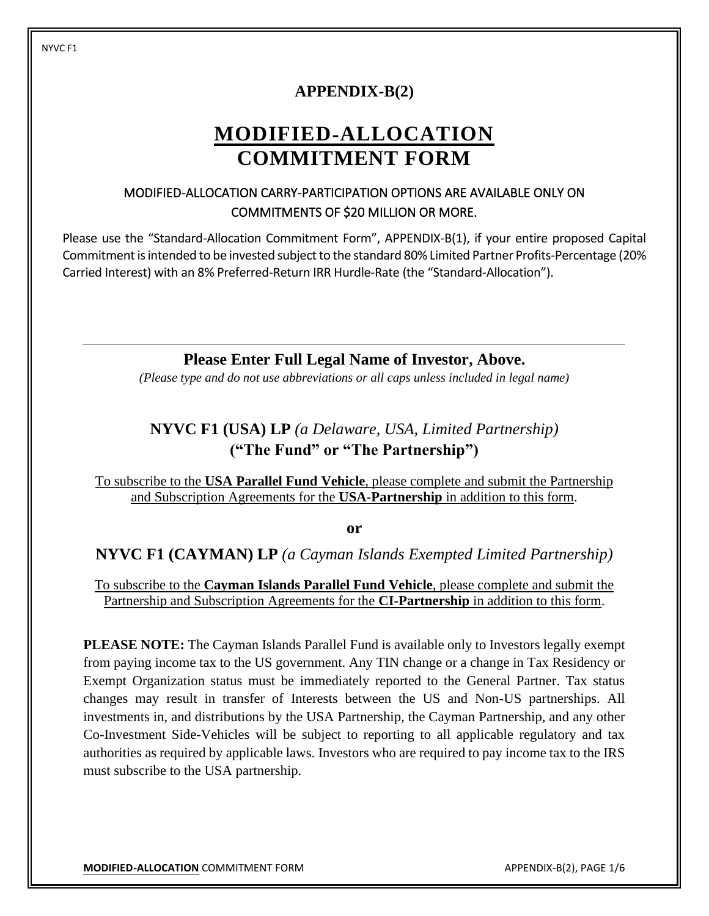#### NYVC F1

### **APPENDIX-B(2)**

# **MODIFIED-ALLOCATION COMMITMENT FORM**

### MODIFIED-ALLOCATION CARRY-PARTICIPATION OPTIONS ARE AVAILABLE ONLY ON COMMITMENTS OF \$20 MILLION OR MORE.

Please use the "Standard-Allocation Commitment Form", APPENDIX-B(1), if your entire proposed Capital Commitment is intended to be invested subject to the standard 80% Limited Partner Profits-Percentage (20% Carried Interest) with an 8% Preferred-Return IRR Hurdle-Rate (the "Standard-Allocation").

**Please Enter Full Legal Name of Investor, Above.**

*(Please type and do not use abbreviations or all caps unless included in legal name)*

## **NYVC F1 (USA) LP** *(a Delaware, USA, Limited Partnership)* **("The Fund" or "The Partnership")**

To subscribe to the **USA Parallel Fund Vehicle**, please complete and submit the Partnership and Subscription Agreements for the **USA-Partnership** in addition to this form.

**or**

### **NYVC F1 (CAYMAN) LP** *(a Cayman Islands Exempted Limited Partnership)*

To subscribe to the **Cayman Islands Parallel Fund Vehicle**, please complete and submit the Partnership and Subscription Agreements for the **CI-Partnership** in addition to this form.

**PLEASE NOTE:** The Cayman Islands Parallel Fund is available only to Investors legally exempt from paying income tax to the US government. Any TIN change or a change in Tax Residency or Exempt Organization status must be immediately reported to the General Partner. Tax status changes may result in transfer of Interests between the US and Non-US partnerships. All investments in, and distributions by the USA Partnership, the Cayman Partnership, and any other Co-Investment Side-Vehicles will be subject to reporting to all applicable regulatory and tax authorities as required by applicable laws. Investors who are required to pay income tax to the IRS must subscribe to the USA partnership.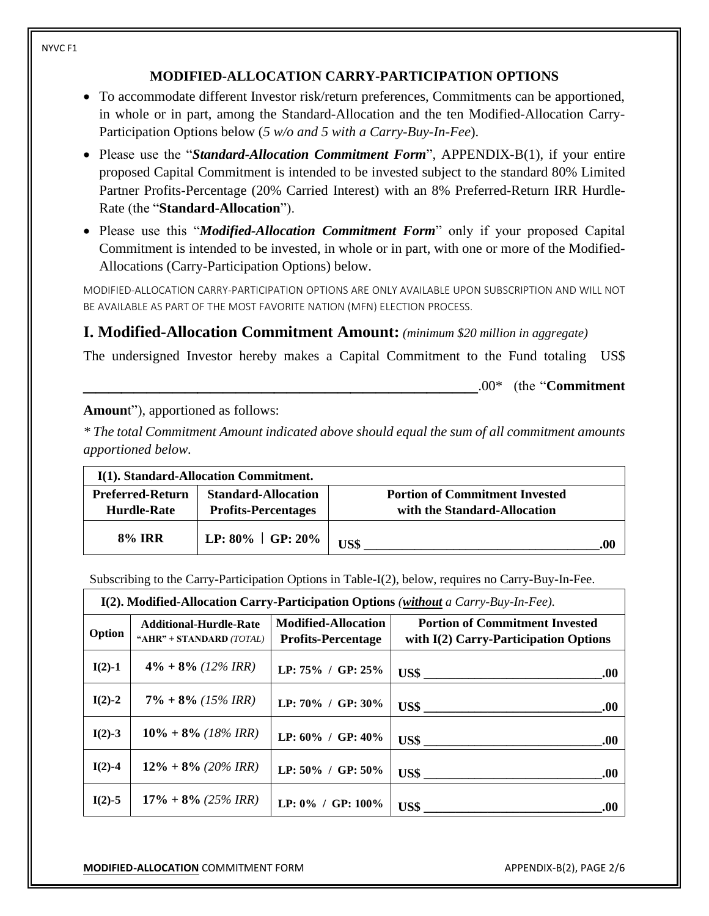### **MODIFIED-ALLOCATION CARRY-PARTICIPATION OPTIONS**

- To accommodate different Investor risk/return preferences, Commitments can be apportioned, in whole or in part, among the Standard-Allocation and the ten Modified-Allocation Carry-Participation Options below (*5 w/o and 5 with a Carry-Buy-In-Fee*).
- Please use the "*Standard-Allocation Commitment Form*", APPENDIX-B(1), if your entire proposed Capital Commitment is intended to be invested subject to the standard 80% Limited Partner Profits-Percentage (20% Carried Interest) with an 8% Preferred-Return IRR Hurdle-Rate (the "**Standard-Allocation**").
- Please use this "*Modified-Allocation Commitment Form*" only if your proposed Capital Commitment is intended to be invested, in whole or in part, with one or more of the Modified-Allocations (Carry-Participation Options) below.

MODIFIED-ALLOCATION CARRY-PARTICIPATION OPTIONS ARE ONLY AVAILABLE UPON SUBSCRIPTION AND WILL NOT BE AVAILABLE AS PART OF THE MOST FAVORITE NATION (MFN) ELECTION PROCESS.

### **I. Modified-Allocation Commitment Amount:** *(minimum \$20 million in aggregate)*

The undersigned Investor hereby makes a Capital Commitment to the Fund totaling US\$

\_\_\_\_\_\_\_\_\_\_\_\_\_\_\_\_\_\_\_\_\_\_\_\_\_\_\_\_\_\_\_.00\* (the "**Commitment** 

### **Amoun**t"), apportioned as follows:

*\* The total Commitment Amount indicated above should equal the sum of all commitment amounts apportioned below.*

|                                        | I(1). Standard-Allocation Commitment.                    |                                                                       |
|----------------------------------------|----------------------------------------------------------|-----------------------------------------------------------------------|
| <b>Preferred-Return</b><br>Hurdle-Rate | <b>Standard-Allocation</b><br><b>Profits-Percentages</b> | <b>Portion of Commitment Invested</b><br>with the Standard-Allocation |
| <b>8% IRR</b>                          | LP: $80\%$   GP: $20\%$                                  | US\$<br>.OC                                                           |

Subscribing to the Carry-Participation Options in Table-I(2), below, requires no Carry-Buy-In-Fee.

| $I(2)$ . Modified-Allocation Carry-Participation Options (without a Carry-Buy-In-Fee). |                                                           |                                                         |                                                                                                                           |
|----------------------------------------------------------------------------------------|-----------------------------------------------------------|---------------------------------------------------------|---------------------------------------------------------------------------------------------------------------------------|
| Option                                                                                 | <b>Additional-Hurdle-Rate</b><br>"AHR" + STANDARD (TOTAL) | <b>Modified-Allocation</b><br><b>Profits-Percentage</b> | <b>Portion of Commitment Invested</b><br>with $I(2)$ Carry-Participation Options                                          |
| $I(2)-1$                                                                               | $4\% + 8\%$ (12% IRR)                                     | LP: $75\%$ / GP: $25\%$                                 | $\begin{array}{c c c c c c} \hline \text{US$} & \text{\quad} & \text{\quad} & \text{\quad} \\ \hline \end{array}$<br>.00. |
| $I(2)-2$                                                                               | $7\% + 8\%$ (15% IRR)                                     | LP: 70% / GP: 30%                                       | .00.                                                                                                                      |
| $I(2)-3$                                                                               | $10\% + 8\%$ (18% IRR)                                    | LP: 60% / GP: 40%                                       | US\$<br>.00.                                                                                                              |
| $I(2)-4$                                                                               | $12\% + 8\%$ (20% IRR)                                    | LP: 50% / GP: 50%                                       | $\text{US\$}$<br>.00.                                                                                                     |
| $I(2)-5$                                                                               | $17\% + 8\%$ (25% IRR)                                    | LP: $0\%$ / GP: $100\%$                                 | .00.                                                                                                                      |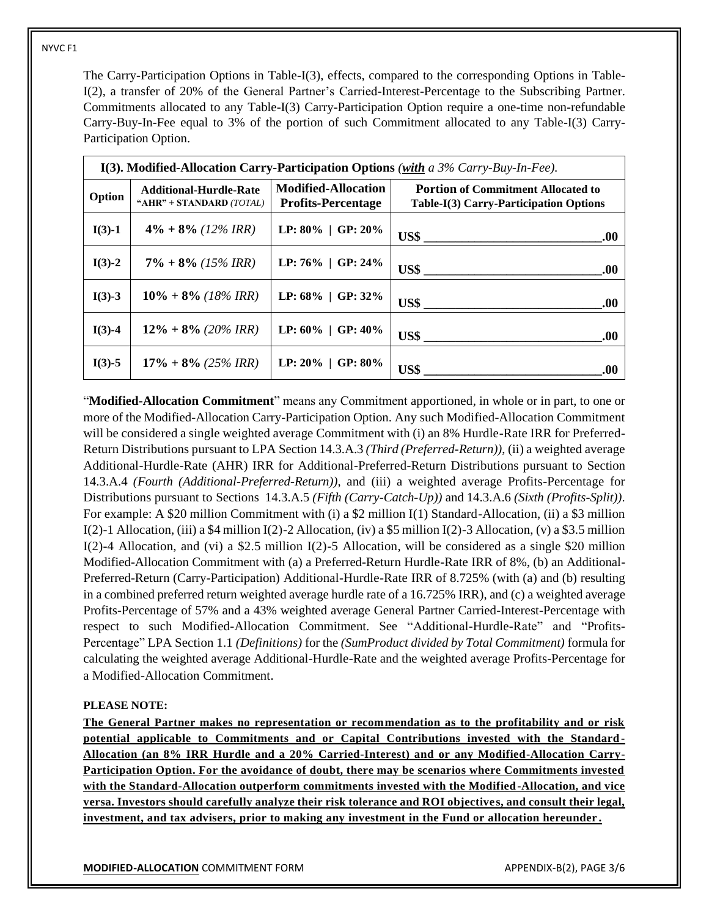#### NYVC F1

The Carry-Participation Options in Table-I(3), effects, compared to the corresponding Options in Table-I(2), a transfer of 20% of the General Partner's Carried-Interest-Percentage to the Subscribing Partner. Commitments allocated to any Table-I(3) Carry-Participation Option require a one-time non-refundable Carry-Buy-In-Fee equal to 3% of the portion of such Commitment allocated to any Table-I(3) Carry-Participation Option.

| I(3). Modified-Allocation Carry-Participation Options (with a $3\%$ Carry-Buy-In-Fee). |                                                           |                                                         |                                                                                     |
|----------------------------------------------------------------------------------------|-----------------------------------------------------------|---------------------------------------------------------|-------------------------------------------------------------------------------------|
| Option                                                                                 | <b>Additional-Hurdle-Rate</b><br>"AHR" + STANDARD (TOTAL) | <b>Modified-Allocation</b><br><b>Profits-Percentage</b> | <b>Portion of Commitment Allocated to</b><br>Table-I(3) Carry-Participation Options |
| $I(3)-1$                                                                               | $4\% + 8\%$ (12% IRR)                                     | LP: $80\%$   GP: $20\%$                                 | .00.                                                                                |
| $I(3)-2$                                                                               | $7\% + 8\%$ (15% IRR)                                     | LP: $76\%$   GP: $24\%$                                 | .00.                                                                                |
| $I(3)-3$                                                                               | $10\% + 8\%$ (18% IRR)                                    | LP: $68\%$   GP: $32\%$                                 | .00.                                                                                |
| $I(3)-4$                                                                               | $12\% + 8\%$ (20% IRR)                                    | LP: $60\%$   GP: $40\%$                                 | .00.                                                                                |
| $I(3)-5$                                                                               | $17\% + 8\%$ (25% IRR)                                    | LP: $20\%$   GP: $80\%$                                 | US\$<br>.00                                                                         |

"**Modified-Allocation Commitment**" means any Commitment apportioned, in whole or in part, to one or more of the Modified-Allocation Carry-Participation Option. Any such Modified-Allocation Commitment will be considered a single weighted average Commitment with (i) an 8% Hurdle-Rate IRR for Preferred-Return Distributions pursuant to LPA Section 14.3.A.3 *(Third (Preferred-Return))*, (ii) a weighted average Additional-Hurdle-Rate (AHR) IRR for Additional-Preferred-Return Distributions pursuant to Section 14.3.A.4 *(Fourth (Additional-Preferred-Return))*, and (iii) a weighted average Profits-Percentage for Distributions pursuant to Sections 14.3.A.5 *(Fifth (Carry-Catch-Up))* and 14.3.A.6 *(Sixth (Profits-Split))*. For example: A \$20 million Commitment with (i) a \$2 million I(1) Standard-Allocation, (ii) a \$3 million  $I(2)-1$  Allocation, (iii) a \$4 million  $I(2)-2$  Allocation, (iv) a \$5 million  $I(2)-3$  Allocation, (v) a \$3.5 million I(2)-4 Allocation, and (vi) a \$2.5 million I(2)-5 Allocation, will be considered as a single \$20 million Modified-Allocation Commitment with (a) a Preferred-Return Hurdle-Rate IRR of 8%, (b) an Additional-Preferred-Return (Carry-Participation) Additional-Hurdle-Rate IRR of 8.725% (with (a) and (b) resulting in a combined preferred return weighted average hurdle rate of a 16.725% IRR), and (c) a weighted average Profits-Percentage of 57% and a 43% weighted average General Partner Carried-Interest-Percentage with respect to such Modified-Allocation Commitment. See "Additional-Hurdle-Rate" and "Profits-Percentage" LPA Section 1.1 *(Definitions)* for the *(SumProduct divided by Total Commitment)* formula for calculating the weighted average Additional-Hurdle-Rate and the weighted average Profits-Percentage for a Modified-Allocation Commitment.

#### **PLEASE NOTE:**

**The General Partner makes no representation or recommendation as to the profitability and or risk potential applicable to Commitments and or Capital Contributions invested with the Standard - Allocation (an 8% IRR Hurdle and a 20% Carried-Interest) and or any Modified-Allocation Carry-Participation Option. For the avoidance of doubt, there may be scenarios where Commitments invested with the Standard-Allocation outperform commitments invested with the Modified-Allocation, and vice versa. Investors should carefully analyze their risk tolerance and ROI objectives, and consult their legal, investment, and tax advisers, prior to making any investment in the Fund or allocation hereunder .**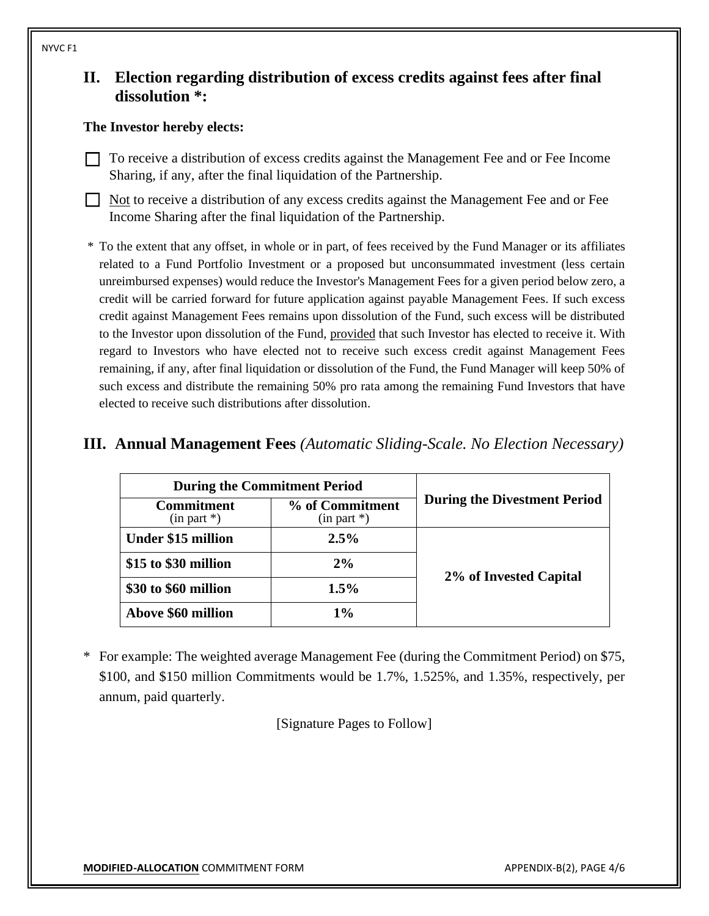### **II. Election regarding distribution of excess credits against fees after final dissolution \*:**

#### **The Investor hereby elects:**

- ☐ To receive a distribution of excess credits against the Management Fee and or Fee Income Sharing, if any, after the final liquidation of the Partnership.
- ☐ Not to receive a distribution of any excess credits against the Management Fee and or Fee Income Sharing after the final liquidation of the Partnership.
- \* To the extent that any offset, in whole or in part, of fees received by the Fund Manager or its affiliates related to a Fund Portfolio Investment or a proposed but unconsummated investment (less certain unreimbursed expenses) would reduce the Investor's Management Fees for a given period below zero, a credit will be carried forward for future application against payable Management Fees. If such excess credit against Management Fees remains upon dissolution of the Fund, such excess will be distributed to the Investor upon dissolution of the Fund, provided that such Investor has elected to receive it. With regard to Investors who have elected not to receive such excess credit against Management Fees remaining, if any, after final liquidation or dissolution of the Fund, the Fund Manager will keep 50% of such excess and distribute the remaining 50% pro rata among the remaining Fund Investors that have elected to receive such distributions after dissolution.

| <b>III. Annual Management Fees</b> (Automatic Sliding-Scale. No Election Necessary) |  |
|-------------------------------------------------------------------------------------|--|
|-------------------------------------------------------------------------------------|--|

| <b>During the Commitment Period</b> |                                   |                                     |  |
|-------------------------------------|-----------------------------------|-------------------------------------|--|
| Commitment<br>$(in part * )$        | % of Commitment<br>$(in part * )$ | <b>During the Divestment Period</b> |  |
| <b>Under \$15 million</b>           | $2.5\%$                           |                                     |  |
| \$15 to \$30 million                | 2%                                |                                     |  |
| \$30 to \$60 million                | 1.5%                              | 2% of Invested Capital              |  |
| Above \$60 million                  | $1\%$                             |                                     |  |

\* For example: The weighted average Management Fee (during the Commitment Period) on \$75, \$100, and \$150 million Commitments would be 1.7%, 1.525%, and 1.35%, respectively, per annum, paid quarterly.

[Signature Pages to Follow]

#### NYVC F1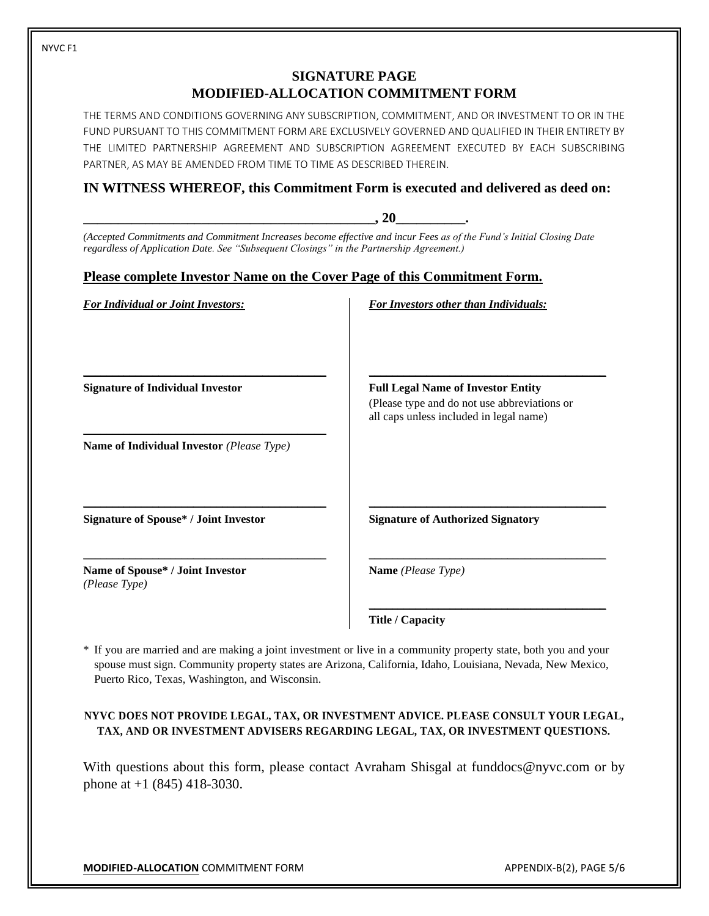### **SIGNATURE PAGE MODIFIED-ALLOCATION COMMITMENT FORM**

THE TERMS AND CONDITIONS GOVERNING ANY SUBSCRIPTION, COMMITMENT, AND OR INVESTMENT TO OR IN THE FUND PURSUANT TO THIS COMMITMENT FORM ARE EXCLUSIVELY GOVERNED AND QUALIFIED IN THEIR ENTIRETY BY THE LIMITED PARTNERSHIP AGREEMENT AND SUBSCRIPTION AGREEMENT EXECUTED BY EACH SUBSCRIBING PARTNER, AS MAY BE AMENDED FROM TIME TO TIME AS DESCRIBED THEREIN.

### **IN WITNESS WHEREOF, this Commitment Form is executed and delivered as deed on:**

|                                                                                          | .20                                                                                                                  |
|------------------------------------------------------------------------------------------|----------------------------------------------------------------------------------------------------------------------|
| regardless of Application Date. See "Subsequent Closings" in the Partnership Agreement.) | (Accepted Commitments and Commitment Increases become effective and incur Fees as of the Fund's Initial Closing Date |
| <u>Please complete Investor Name on the Cover Page of this Commitment Form.</u>          |                                                                                                                      |
| <b>For Individual or Joint Investors:</b>                                                | <b>For Investors other than Individuals:</b>                                                                         |
|                                                                                          |                                                                                                                      |
|                                                                                          |                                                                                                                      |
| <b>Signature of Individual Investor</b>                                                  | <b>Full Legal Name of Investor Entity</b><br>(Please type and do not use abbreviations or                            |
|                                                                                          | all caps unless included in legal name)                                                                              |
| Name of Individual Investor (Please Type)                                                |                                                                                                                      |
| <b>Signature of Spouse* / Joint Investor</b>                                             | <b>Signature of Authorized Signatory</b>                                                                             |
|                                                                                          |                                                                                                                      |
| Name of Spouse* / Joint Investor<br>(Please Type)                                        | Name (Please Type)                                                                                                   |
|                                                                                          | <b>Title / Capacity</b>                                                                                              |

\* If you are married and are making a joint investment or live in a community property state, both you and your spouse must sign. Community property states are Arizona, California, Idaho, Louisiana, Nevada, New Mexico, Puerto Rico, Texas, Washington, and Wisconsin.

#### **NYVC DOES NOT PROVIDE LEGAL, TAX, OR INVESTMENT ADVICE. PLEASE CONSULT YOUR LEGAL, TAX, AND OR INVESTMENT ADVISERS REGARDING LEGAL, TAX, OR INVESTMENT QUESTIONS.**

With questions about this form, please contact Avraham Shisgal at funddocs@nyvc.com or by phone at +1 (845) 418-3030.

**MODIFIED-ALLOCATION** COMMITMENT FORM APPENDIX-B(2), PAGE 5/6

NYVC F1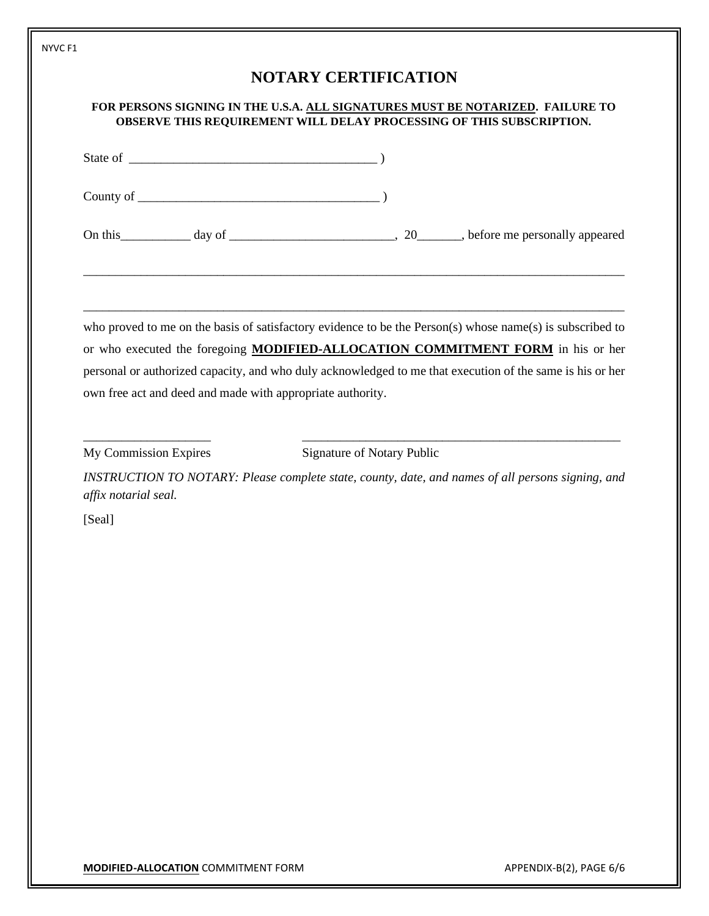|                                                            | FOR PERSONS SIGNING IN THE U.S.A. ALL SIGNATURES MUST BE NOTARIZED. FAILURE TO<br>OBSERVE THIS REQUIREMENT WILL DELAY PROCESSING OF THIS SUBSCRIPTION.                                                                                                                                                    |  |
|------------------------------------------------------------|-----------------------------------------------------------------------------------------------------------------------------------------------------------------------------------------------------------------------------------------------------------------------------------------------------------|--|
|                                                            |                                                                                                                                                                                                                                                                                                           |  |
|                                                            |                                                                                                                                                                                                                                                                                                           |  |
|                                                            | <u> 1989 - Johann Barn, amerikan berkema dalam berkema dalam berkema dalam berkema dalam berkema dalam berkema da</u>                                                                                                                                                                                     |  |
| own free act and deed and made with appropriate authority. | who proved to me on the basis of satisfactory evidence to be the Person(s) whose name(s) is subscribed to<br>or who executed the foregoing MODIFIED-ALLOCATION COMMITMENT FORM in his or her<br>personal or authorized capacity, and who duly acknowledged to me that execution of the same is his or her |  |
| My Commission Expires                                      | Signature of Notary Public                                                                                                                                                                                                                                                                                |  |
|                                                            | INSTRUCTION TO NOTARY: Please complete state, county, date, and names of all persons signing, and                                                                                                                                                                                                         |  |
| affix notarial seal.                                       |                                                                                                                                                                                                                                                                                                           |  |
| [Seal]                                                     |                                                                                                                                                                                                                                                                                                           |  |
|                                                            |                                                                                                                                                                                                                                                                                                           |  |
|                                                            |                                                                                                                                                                                                                                                                                                           |  |
|                                                            |                                                                                                                                                                                                                                                                                                           |  |
|                                                            |                                                                                                                                                                                                                                                                                                           |  |
|                                                            |                                                                                                                                                                                                                                                                                                           |  |